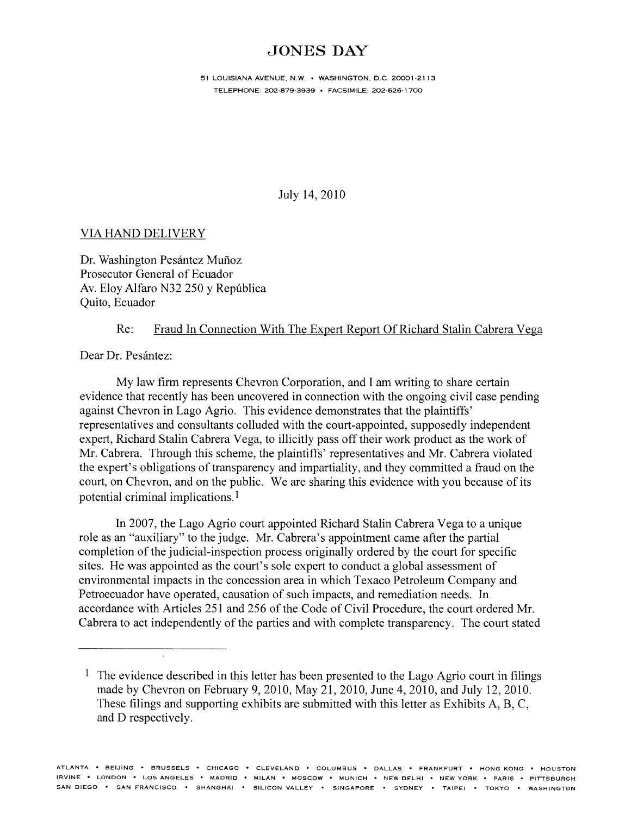## JONES DAY

51 LOUISIANA AVENUE, NW. • WASHINGTON, DC. 20001-2113 TELEPHONE: 202-879-3939 • FACSIMILE: 202-626-1700

July 14, 2010

## VIA HAND DELIVERY

Dr. Washington Pesántez Muñoz Prosecutor General of Ecuador Av. Eloy Alfaro N32 250 <sup>y</sup> Repüblica Quito, Ecuador

## Re: Fraud In Connection With The Expert Report Of Richard Stalin Cabrera Vega

Dear Dr. Pesántez:

My law firm represents Chevron Corporation, and I am writing to share certain evidence that recently has been uncovered in connection with the ongoing civil case pending against Chevron in Lago Agrio. This evidence demonstrates that the plaintiffs' representatives and consultants colluded with the court-appointed, supposedly independent expert, Richard Stalin Cabrera Vega, to illicitly pass off their work product as the work of Mr. Cabrera. Through this scheme, the plaintiffs' representatives and Mr. Cabrera violated the expert's obligations of transparency and impartiality, and they committed a fraud on the court, on Chevron, and on the public. We are sharing this evidence with you because of its potential criminal implications.'

In 2007, the Lago Agrio court appointed Richard Stalin Cabrera Vega to <sup>a</sup> unique role as an "auxiliary" to the judge. Mr. Cabrera's appointment came after the partial completion of the judicial-inspection process originally ordered by the court for specific sites. He was appointed as the court's sole exper<sup>t</sup> to conduct <sup>a</sup> global assessment of environmental impacts in the concession area in which Texaco Petroleum Company and Petroecuador have operated, causation of such impacts, and remediation needs. In accordance with Articles 251 and 256 of the Code of Civil Procedure, the court ordered Mr. Cabrera to act independently of the parties and with complete transparency. The court stated

<sup>&</sup>lt;sup>1</sup> The evidence described in this letter has been presented to the Lago Agrio court in filings made by Chevron on February 9, 2010, May 21, 2010, June 4, 2010, and July 12, 2010. These filings and supporting exhibits are submitted with this letter as Exhibits A, B, C, and D respectively.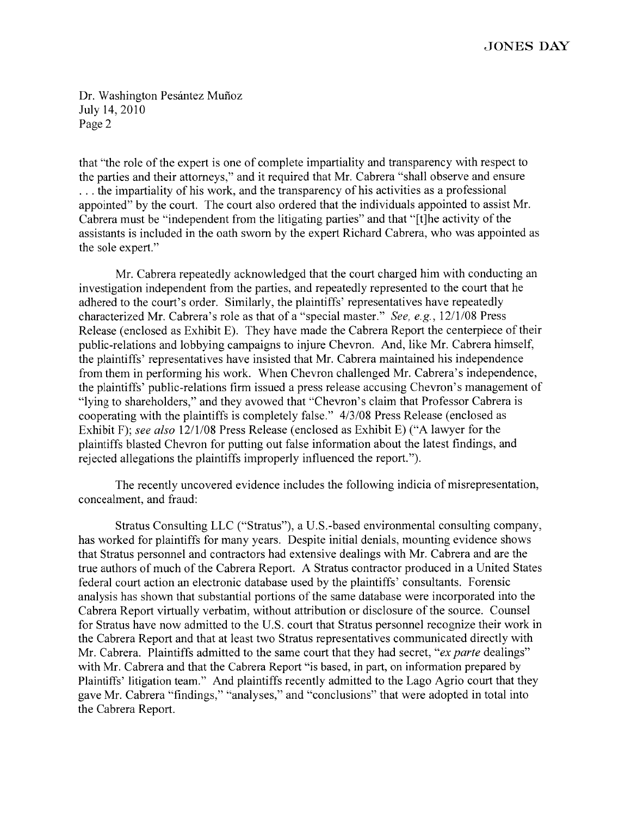Dr. Washington Pesántez Muñoz July 14, 2010 Page 2

that "the role of the exper<sup>t</sup> is one of complete impartiality and transparency with respec<sup>t</sup> to the parties and their attorneys," and it required that Mr. Cabrera "shall observe and ensure  $\ldots$  the impartiality of his work, and the transparency of his activities as a professional appointed" by the court. The court also ordered that the individuals appointed to assist Mr. Cabrera must be "independent from the litigating parties" and that "[t]he activity of the assistants is included in the oath sworn by the exper<sup>t</sup> Richard Cabrera, who was appointed as the sole expert."

Mr. Cabrera repeatedly acknowledged that the court charged him with conducting an investigation independent from the parties, and repeatedly represented to the court that he adhered to the court's order. Similarly, the plaintiffs' representatives have repeatedly characterized Mr. Cabrera's role as that of <sup>a</sup> "special master." See, e.g., 12/1/08 Press Release (enclosed as Exhibit E). They have made the Cabrera Report the centerpiece of their public-relations and lobbying campaigns to injure Chevron. And, like Mr. Cabrera himself, the plaintiffs' representatives have insisted that Mr. Cabrera maintained his independence from them in performing his work. When Chevron challenged Mr. Cabrera's independence, the plaintiffs' public-relations firm issued <sup>a</sup> press release accusing Chevron's managemen<sup>t</sup> of "lying to shareholders," and they avowed that "Chevron's claim that Professor Cabrera is cooperating with the plaintiffs is completely false." 4/3/08 Press Release (enclosed as Exhibit F); see also 12/1/08 Press Release (enclosed as Exhibit E) ("A lawyer for the plaintiffs blasted Chevron for putting out false information about the latest findings, and rejected allegations the plaintiffs improperly influenced the report.").

The recently uncovered evidence includes the following indicia of misrepresentation, concealment, and fraud:

Stratus Consulting LLC ("Stratus"), <sup>a</sup> U.S.-based environmental consulting company, has worked for plaintiffs for many years. Despite initial denials, mounting evidence shows that Stratus personnel and contractors had extensive dealings with Mr. Cabrera and are the true authors of much of the Cabrera Report. A Stratus contractor produced in <sup>a</sup> United States federal court action an electronic database used by the plaintiffs' consultants. Forensic analysis has shown that substantial portions of the same database were incorporated into the Cabrera Report virtually verbatim, without attribution or disclosure of the source. Counsel for Stratus have now admitted to the U.S. court that Stratus personnel recognize their work in the Cabrera Report and that at least two Stratus representatives communicated directly with Mr. Cabrera. Plaintiffs admitted to the same court that they had secret, "ex parte dealings" with Mr. Cabrera and that the Cabrera Report "is based, in part, on information prepared by Plaintiffs' litigation team." And plaintiffs recently admitted to the Lago Agrio court that they gave Mr. Cabrera "findings," "analyses," and "conclusions" that were adopted in total into the Cabrera Report.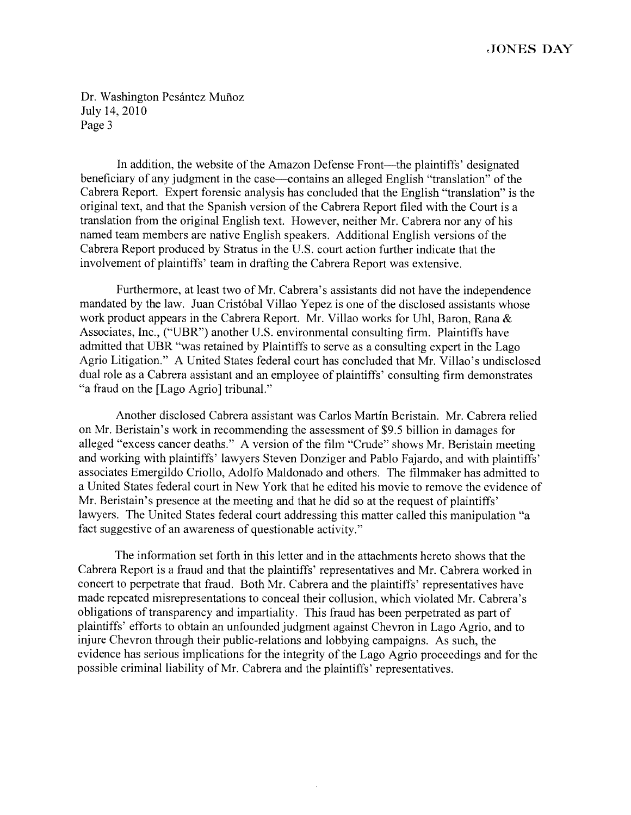## JONES DAY

Dr. Washington Pesántez Muñoz July 14, 2010 Page 3

In addition, the website of the Amazon Defense Front—the plaintiffs' designated beneficiary of any judgment in the case—contains an alleged English "translation" of the Cabrera Report. Expert forensic analysis has concluded that the English "translation" is the original text, and that the Spanish version of the Cabrera Report filed with the Court is <sup>a</sup> translation from the original English text. However, neither Mr. Cabrera nor any of his named team members are native English speakers. Additional English versions of the Cabrera Report produced by Stratus in the U.S. court action further indicate that the involvement of plaintiffs' team in drafting the Cabrera Report was extensive.

Furthermore, at least two of Mr. Cabrera's assistants did not have the independence mandated by the law. Juan Cristóbal Villao Yepez is one of the disclosed assistants whose work product appears in the Cabrera Report. Mr. Villao works for Uhl, Baron, Rana & Associates, Inc., ("UBR") another U.S. environmental consulting firm. Plaintiffs have admitted that UBR "was retained by Plaintiffs to serve as <sup>a</sup> consulting exper<sup>t</sup> in the Lago Agrio Litigation." A United States federal court has concluded that Mr. Villao's undisclosed dual role as <sup>a</sup> Cabrera assistant and an employee of <sup>p</sup>laintiffs' consulting firm demonstrates "a fraud on the [Lago Agrio] tribunal."

Another disclosed Cabrera assistant was Carlos Martin Beristain. Mr. Cabrera relied on Mr. Beristain's work in recommending the assessment of \$9.5 billion in damages for alleged "excess cancer deaths." <sup>A</sup> version of the film "Crude" shows Mr. Beristain meeting and working with <sup>p</sup>laintiffs' lawyers Steven Donziger and Pablo Fajardo, and with <sup>p</sup>laintiffs' associates Emergildo Criollo, Adolfo Maldonado and others. The filmmaker has admitted to <sup>a</sup> United States federal court in New York that he edited his movie to remove the evidence of Mr. Beristain's presence at the meeting and that he did so at the reques<sup>t</sup> of <sup>p</sup>laintiffs' lawyers. The United States federal court addressing this matter called this manipulation "a fact suggestive of an awareness of questionable activity."

The information set forth in this letter and in the attachments hereto shows that the Cabrera Report is <sup>a</sup> fraud and that the plaintiffs' representatives and Mr. Cabrera worked in concert to perpetrate that fraud. Both Mr. Cabrera and the plaintiffs' representatives have made repeated misrepresentations to conceal their collusion, which violated Mr. Cabrera's obligations of transparency and impartiality. This fraud has been perpetrated as par<sup>t</sup> of <sup>p</sup>laintiffs' efforts to obtain an unfounded judgment against Chevron in Lago Agrio, and to injure Chevron through their public-relations and lobbying campaigns. As such, the evidence has serious implications for the integrity of the Lago Agrio proceedings and for the possible criminal liability of Mr. Cabrera and the <sup>p</sup>laintiffs' representatives.